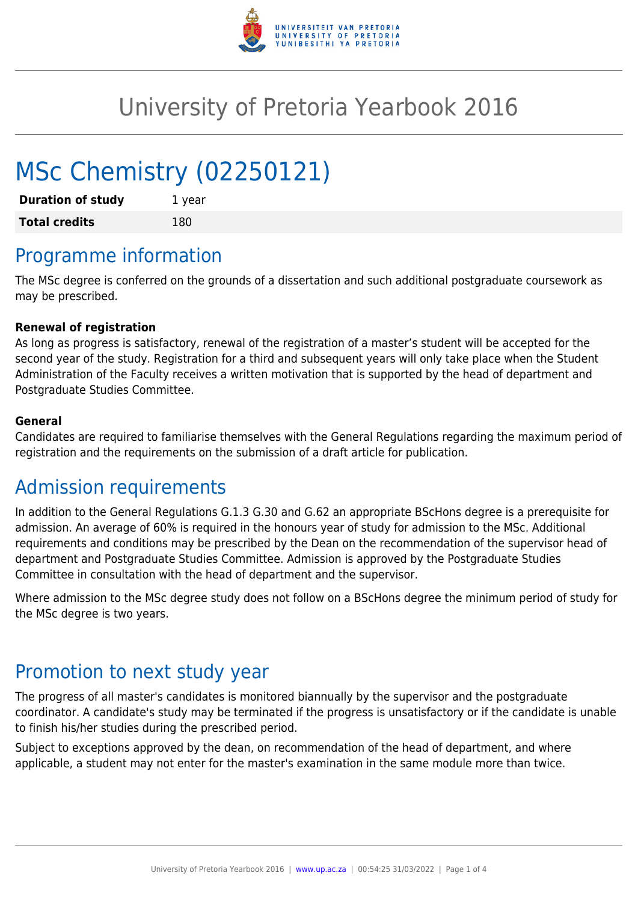

# University of Pretoria Yearbook 2016

# MSc Chemistry (02250121)

| <b>Duration of study</b> | 1 year |
|--------------------------|--------|
| <b>Total credits</b>     | 180    |

# Programme information

The MSc degree is conferred on the grounds of a dissertation and such additional postgraduate coursework as may be prescribed.

#### **Renewal of registration**

As long as progress is satisfactory, renewal of the registration of a master's student will be accepted for the second year of the study. Registration for a third and subsequent years will only take place when the Student Administration of the Faculty receives a written motivation that is supported by the head of department and Postgraduate Studies Committee.

#### **General**

Candidates are required to familiarise themselves with the General Regulations regarding the maximum period of registration and the requirements on the submission of a draft article for publication.

### Admission requirements

In addition to the General Regulations G.1.3 G.30 and G.62 an appropriate BScHons degree is a prerequisite for admission. An average of 60% is required in the honours year of study for admission to the MSc. Additional requirements and conditions may be prescribed by the Dean on the recommendation of the supervisor head of department and Postgraduate Studies Committee. Admission is approved by the Postgraduate Studies Committee in consultation with the head of department and the supervisor.

Where admission to the MSc degree study does not follow on a BScHons degree the minimum period of study for the MSc degree is two years.

# Promotion to next study year

The progress of all master's candidates is monitored biannually by the supervisor and the postgraduate coordinator. A candidate's study may be terminated if the progress is unsatisfactory or if the candidate is unable to finish his/her studies during the prescribed period.

Subject to exceptions approved by the dean, on recommendation of the head of department, and where applicable, a student may not enter for the master's examination in the same module more than twice.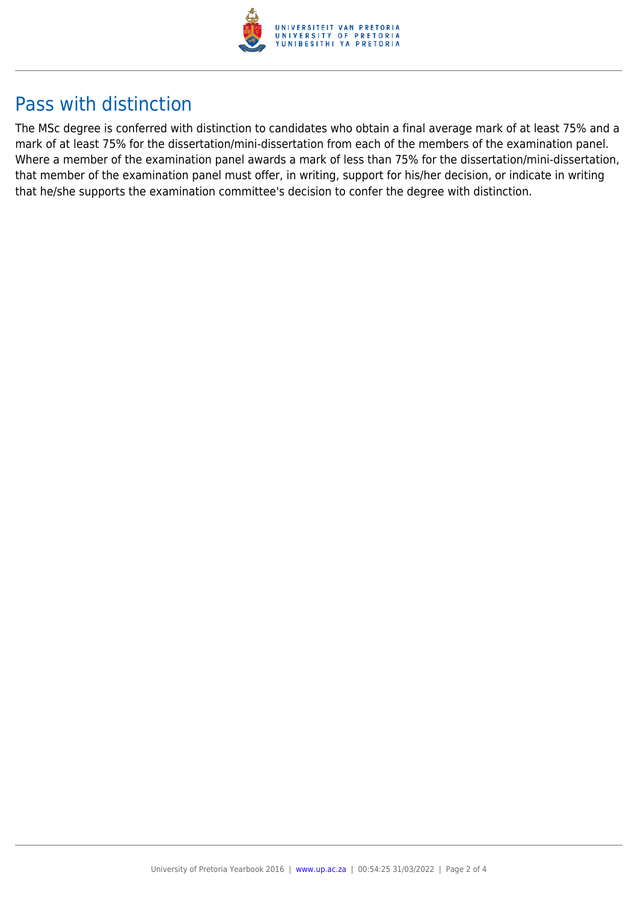

## Pass with distinction

The MSc degree is conferred with distinction to candidates who obtain a final average mark of at least 75% and a mark of at least 75% for the dissertation/mini-dissertation from each of the members of the examination panel. Where a member of the examination panel awards a mark of less than 75% for the dissertation/mini-dissertation, that member of the examination panel must offer, in writing, support for his/her decision, or indicate in writing that he/she supports the examination committee's decision to confer the degree with distinction.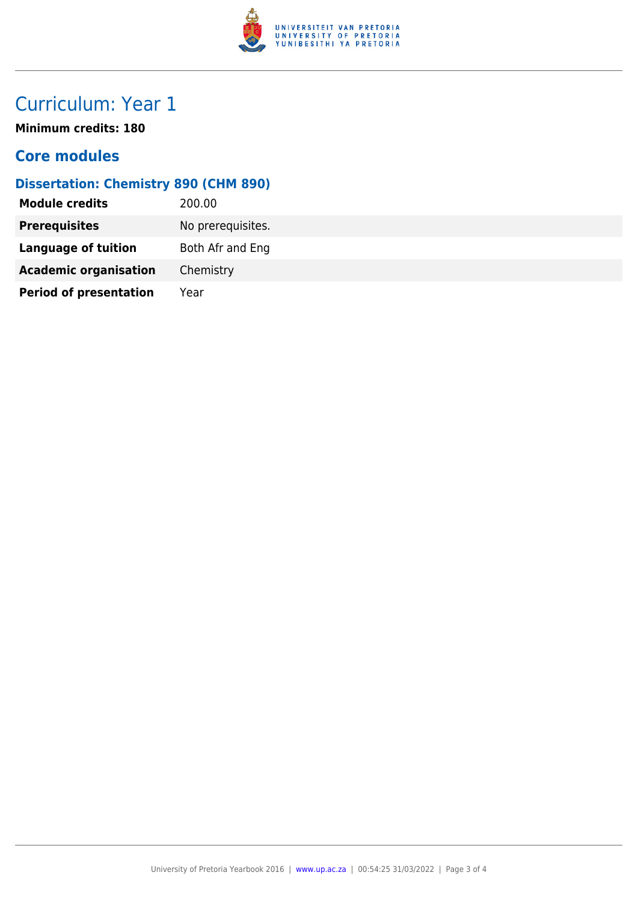

# Curriculum: Year 1

**Minimum credits: 180**

#### **Core modules**

#### **Dissertation: Chemistry 890 (CHM 890)**

| <b>Module credits</b>         | 200.00            |
|-------------------------------|-------------------|
| <b>Prerequisites</b>          | No prerequisites. |
| <b>Language of tuition</b>    | Both Afr and Eng  |
| <b>Academic organisation</b>  | Chemistry         |
| <b>Period of presentation</b> | Year              |